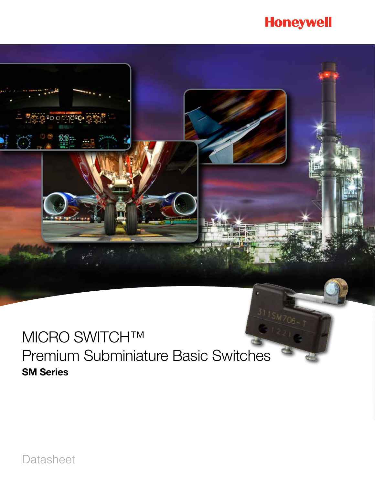# **Honeywell**

# MICRO SWITCH™ Premium Subminiature Basic Switches SM Series

Datasheet

<u> ကားမွာ ၁၀၀၉-၁၀</u>

 $\left( \cdot \right)$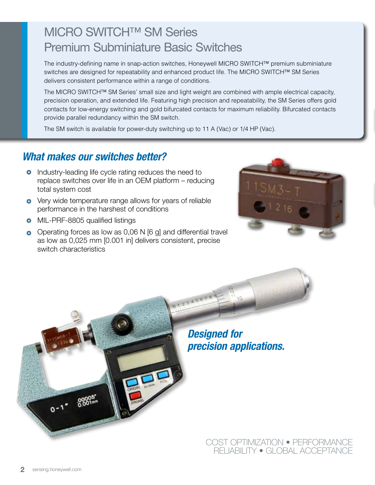# MICRO SWITCH™ SM Series Premium Subminiature Basic Switches

The industry-defining name in snap-action switches, Honeywell MICRO SWITCH™ premium subminiature switches are designed for repeatability and enhanced product life. The MICRO SWITCH™ SM Series delivers consistent performance within a range of conditions.

The MICRO SWITCH™ SM Series' small size and light weight are combined with ample electrical capacity, precision operation, and extended life. Featuring high precision and repeatability, the SM Series offers gold contacts for low-energy switching and gold bifurcated contacts for maximum reliability. Bifurcated contacts provide parallel redundancy within the SM switch.

The SM switch is available for power-duty switching up to 11 A (Vac) or 1/4 HP (Vac).

### *What makes our switches better?*

- **•** Industry-leading life cycle rating reduces the need to replace switches over life in an OEM platform – reducing total system cost
- **o** Very wide temperature range allows for years of reliable performance in the harshest of conditions
- **o** MIL-PRF-8805 qualified listings
- $\bullet$  Operating forces as low as 0,06 N [6 g] and differential travel as low as 0,025 mm [0.001 in] delivers consistent, precise switch characteristics





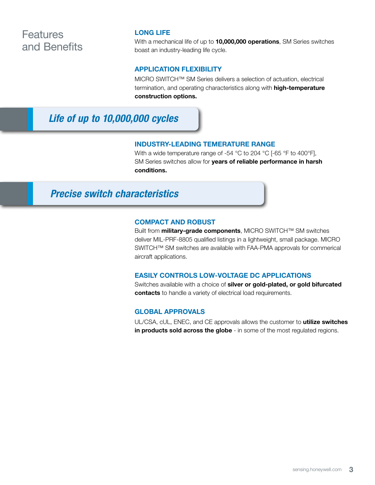### **Features** and Benefits

#### LONG LIFE

With a mechanical life of up to **10,000,000 operations**, SM Series switches boast an industry-leading life cycle.

#### APPLICATION FLEXIBILITY

MICRO SWITCH™ SM Series delivers a selection of actuation, electrical termination, and operating characteristics along with **high-temperature** construction options.

### *Life of up to 10,000,000 cycles*

#### INDUSTRY-LEADING TEMERATURE RANGE

With a wide temperature range of -54 °C to 204 °C [-65 °F to 400°F], SM Series switches allow for years of reliable performance in harsh conditions.

### *Precise switch characteristics*

#### COMPACT AND ROBUST

Built from **military-grade components**, MICRO SWITCH™ SM switches deliver MIL-PRF-8805 qualified listings in a lightweight, small package. MICRO SWITCH™ SM switches are available with FAA-PMA approvals for commerical aircraft applications.

#### EASILY CONTROLS LOW-VOLTAGE DC APPLICATIONS

Switches available with a choice of silver or gold-plated, or gold bifurcated contacts to handle a variety of electrical load requirements.

#### GLOBAL APPROVALS

UL/CSA, cUL, ENEC, and CE approvals allows the customer to utilize switches in products sold across the globe - in some of the most regulated regions.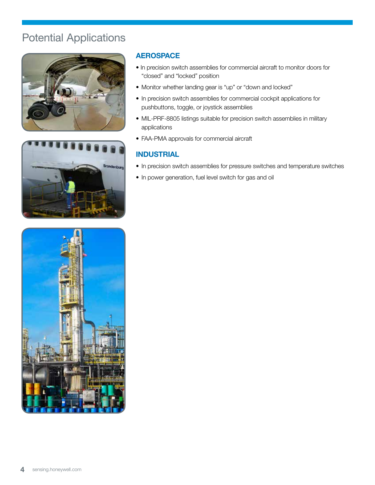### Potential Applications





### **AEROSPACE**

- In precision switch assemblies for commercial aircraft to monitor doors for "closed" and "locked" position
- Monitor whether landing gear is "up" or "down and locked"
- In precision switch assemblies for commercial cockpit applications for pushbuttons, toggle, or joystick assemblies
- MIL-PRF-8805 listings suitable for precision switch assemblies in military applications
- FAA-PMA approvals for commercial aircraft

### INDUSTRIAL

- In precision switch assemblies for pressure switches and temperature switches
- In power generation, fuel level switch for gas and oil

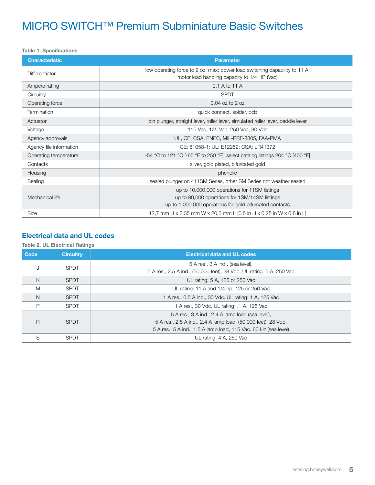### MICRO SWITCH™ Premium Subminiature Basic Switches

#### Table 1. Specifications

| <b>Characteristic</b>   | <b>Parameter</b>                                                                                                                                          |  |  |  |  |
|-------------------------|-----------------------------------------------------------------------------------------------------------------------------------------------------------|--|--|--|--|
| Differentiator          | low operating force to 2 oz. max; power load switching capability to 11 A;<br>motor load handling capacity to 1/4 HP (Vac)                                |  |  |  |  |
| Ampere rating           | 0.1 A to 11 A                                                                                                                                             |  |  |  |  |
| Circuitry               | <b>SPDT</b>                                                                                                                                               |  |  |  |  |
| Operating force         | $0.04$ oz to 2 oz                                                                                                                                         |  |  |  |  |
| Termination             | quick connect, solder, pcb                                                                                                                                |  |  |  |  |
| Actuator                | pin plunger, straight lever, roller lever, simulated roller lever, paddle lever                                                                           |  |  |  |  |
| Voltage                 | 115 Vac, 125 Vac, 250 Vac, 30 Vdc                                                                                                                         |  |  |  |  |
| Agency approvals        | UL, CE, CSA, ENEC, MIL-PRF-8805, FAA-PMA                                                                                                                  |  |  |  |  |
| Agency file information | CE: 61058-1; UL: E12252; CSA: LR41372                                                                                                                     |  |  |  |  |
| Operating temperature   | -54 °C to 121 °C [-65 °F to 250 °F]; select catalog listings 204 °C [400 °F]                                                                              |  |  |  |  |
| Contacts                | silver, gold plated, bifurcated gold                                                                                                                      |  |  |  |  |
| Housing                 | phenolic                                                                                                                                                  |  |  |  |  |
| Sealing                 | sealed plunger on 411SM Series, other SM Series not weather sealed                                                                                        |  |  |  |  |
| Mechanical life         | up to 10,000,000 operations for 11SM listings<br>up to 80,000 operations for 1SM/14SM listings<br>up to 1,000,000 operations for gold bifurcated contacts |  |  |  |  |
| Size                    | 12,7 mm H x 6,35 mm W x 20,3 mm L [0.5 in H x 0.25 in W x 0.8 in L]                                                                                       |  |  |  |  |

#### Electrical data and UL codes

#### Table 2. UL Electrical Ratings

| Code | <b>Circuitry</b> | <b>Electrical data and UL codes</b>                                                                                                                                                  |
|------|------------------|--------------------------------------------------------------------------------------------------------------------------------------------------------------------------------------|
| J    | <b>SPDT</b>      | 5 A res., 3 A ind., (sea level),<br>5 A res., 2.5 A ind., (50,000 feet), 28 Vdc. UL rating: 5 A, 250 Vac                                                                             |
| K    | <b>SPDT</b>      | UL rating: 5 A, 125 or 250 Vac                                                                                                                                                       |
| M    | <b>SPDT</b>      | UL rating: 11 A and 1/4 hp, 125 or 250 Vac                                                                                                                                           |
| N    | <b>SPDT</b>      | 1 A res., 0.5 A ind., 30 Vdc. UL rating: 1 A, 125 Vac                                                                                                                                |
| P    | <b>SPDT</b>      | 1 A res., 30 Vdc. UL rating: .1 A, 125 Vac                                                                                                                                           |
| R    | <b>SPDT</b>      | 5 A res., 3 A ind., 2.4 A lamp load (sea level),<br>5 A res., 2.5 A ind., 2.4 A lamp load, (50,000 feet), 28 Vdc.<br>5 A res., 5 A ind., 1.5 A lamp load, 115 Vac. 60 Hz (sea level) |
| S    | <b>SPDT</b>      | UL rating: 4 A, 250 Vac                                                                                                                                                              |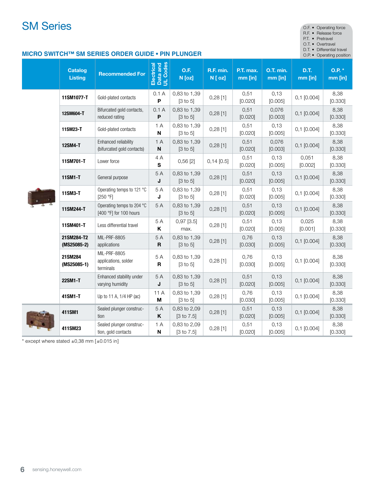## **SM Series**  $\bullet$

|  | F • Operating force |
|--|---------------------|
|  |                     |

R.F. • Release force

P.T. • Pretravel

O.T. • Overtravel

D.T. • Differential travel<br>O.P. • Operating positio

#### **MICRO SWITCH™ SM SERIES ORDER GUIDE • PIN PLUNGER**

|  |                                  |                                                     |                                    |                                       |                      |                      |                      |                  | on . Sportung pooltion |
|--|----------------------------------|-----------------------------------------------------|------------------------------------|---------------------------------------|----------------------|----------------------|----------------------|------------------|------------------------|
|  | <b>Catalog</b><br><b>Listing</b> | <b>Recommended For</b>                              | Electrical<br>Data and<br>UL Codes | O.F.<br>N [oz]                        | R.F. min.<br>N [ oz] | P.T. max.<br>mm [in] | O.T. min.<br>mm [in] | D.T.<br>mm [in]  | 0.P.*<br>mm [in]       |
|  | 11SM1077-T                       | Gold-plated contacts                                | 0.1A<br>P                          | 0,83 to 1,39<br>$[3 \text{ to } 5]$   | $0,28$ [1]           | 0,51<br>[0.020]      | 0,13<br>[0.005]      | $0,1$ [0.004]    | 8,38<br>[0.330]        |
|  | 12SM604-T                        | Bifurcated gold contacts,<br>reduced rating         | 0.1A<br>$\boldsymbol{\mathsf{P}}$  | 0,83 to 1,39<br>$[3 \text{ to } 5]$   | $0,28$ [1]           | 0,51<br>[0.020]      | 0,076<br>[0.003]     | $0,1$ [0.004]    | 8,38<br>[0.330]        |
|  | 11SM23-T                         | Gold-plated contacts                                | 1A<br>$\boldsymbol{\mathsf{N}}$    | 0,83 to 1,39<br>$[3 \text{ to } 5]$   | $0,28$ [1]           | 0,51<br>[0.020]      | 0,13<br>[0.005]      | $0,1$ [0.004]    | 8,38<br>[0.330]        |
|  | 12SM4-T                          | Enhanced reliability<br>(bifurcated gold contacts)  | 1A<br>$\boldsymbol{\mathsf{N}}$    | 0,83 to 1,39<br>$[3 \text{ to } 5]$   | $0,28$ [1]           | 0,51<br>[0.020]      | 0,076<br>[0.003]     | $0,1$ [0.004]    | 8,38<br>[0.330]        |
|  | 11SM701-T                        | Lower force                                         | 4 A<br>${\bf s}$                   | 0,56[2]                               | $0,14$ [0.5]         | 0,51<br>[0.020]      | 0,13<br>[0.005]      | 0,051<br>[0.002] | 8,38<br>[0.330]        |
|  | 11SM1-T                          | General purpose                                     | 5A<br>J                            | 0,83 to 1,39<br>$[3 \text{ to } 5]$   | $0,28$ [1]           | 0,51<br>[0.020]      | 0,13<br>[0.005]      | $0,1$ [0.004]    | 8,38<br>[0.330]        |
|  | 11SM3-T                          | Operating temps to 121 °C<br>[250 °F]               | 5A<br>J                            | 0,83 to 1,39<br>$[3 \text{ to } 5]$   | $0,28$ [1]           | 0,51<br>[0.020]      | 0,13<br>[0.005]      | $0,1$ [0.004]    | 8,38<br>[0.330]        |
|  | 11SM244-T                        | Operating temps to 204 °C<br>[400 °F] for 100 hours | 5 A                                | 0,83 to 1,39<br>$[3 \text{ to } 5]$   | $0,28$ [1]           | 0,51<br>[0.020]      | 0,13<br>[0.005]      | $0,1$ [0.004]    | 8,38<br>[0.330]        |
|  | 11SM401-T                        | Less differential travel                            | 5 A<br>K                           | $0,97$ [3.5]<br>max.                  | $0,28$ [1]           | 0,51<br>[0.020]      | 0,13<br>[0.005]      | 0,025<br>[0.001] | 8,38<br>[0.330]        |
|  | 21SM284-T2<br>$(MS25085-2)$      | MIL-PRF-8805<br>applications                        | 5A<br>$\mathbf R$                  | 0,83 to 1,39<br>$[3 \text{ to } 5]$   | $0,28$ [1]           | 0,76<br>[0.030]      | 0,13<br>[0.005]      | $0,1$ [0.004]    | 8,38<br>[0.330]        |
|  | 21SM284<br>$(MS25085-1)$         | MIL-PRF-8805<br>applications, solder<br>terminals   | 5A<br>$\mathbf R$                  | 0,83 to 1,39<br>$[3 \text{ to } 5]$   | $0,28$ [1]           | 0,76<br>[0.030]      | 0,13<br>[0.005]      | $0,1$ [0.004]    | 8,38<br>[0.330]        |
|  | 22SM1-T                          | Enhanced stability under<br>varying humidity        | 5A<br>J                            | 0,83 to 1,39<br>$[3 \text{ to } 5]$   | $0,28$ [1]           | 0,51<br>[0.020]      | 0,13<br>[0.005]      | $0,1$ [0.004]    | 8,38<br>[0.330]        |
|  | 41SM1-T                          | Up to 11 A, 1/4 HP (ac)                             | 11 A<br>M                          | 0,83 to 1,39<br>$[3 \text{ to } 5]$   | $0,28$ [1]           | 0,76<br>[0.030]      | 0,13<br>[0.005]      | $0,1$ [0.004]    | 8,38<br>[0.330]        |
|  | 411SM1                           | Sealed plunger construc-<br>tion                    | 5A<br>K                            | 0,83 to 2,09<br>$[3 \text{ to } 7.5]$ | $0,28$ [1]           | 0,51<br>[0.020]      | 0,13<br>[0.005]      | $0,1$ [0.004]    | 8,38<br>[0.330]        |
|  | 411SM23                          | Sealed plunger construc-<br>tion, gold contacts     | 1 A<br>$\boldsymbol{\mathsf{N}}$   | 0,83 to 2,09<br>$[3 \text{ to } 7.5]$ | $0,28$ [1]           | 0,51<br>[0.020]      | 0,13<br>[0.005]      | $0,1$ [0.004]    | 8,38<br>[0.330]        |

 $*$  except where stated  $\pm 0.38$  mm  $[\pm 0.015$  in]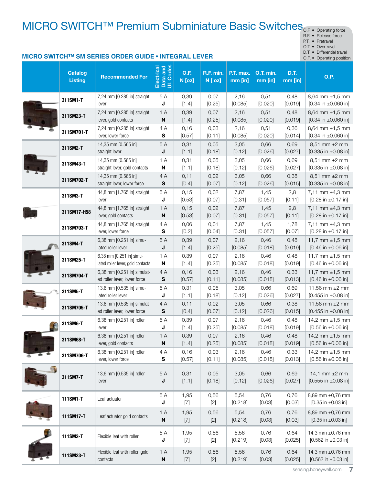# MICRO SWITCH<sup>™</sup> Premium Subminiature Basic Switches<sub>O.F. • Operating force</sub>

R.F. • Release force

P.T. • Pretravel

O.T. • Overtravel

D.T. • Differential travel

#### **MICRO SWITCH™ SM SERIES ORDER GUIDE • INTEGRAL LEVER O.P.** • Operating position Electrical<br>Data and<br>UL Codes **Electrical** Data and UL Codes O.T. min. **Catalog** O.F. R.F. min. P.T. max. D.T. Unitary<br>Listing **Recommended For**  $\begin{array}{c|c}\n\text{mm} & \text{on.} \\
\hline\n\text{mm} & \text{in.}\n\end{array}$ N [oz] N [ oz] mm [in] mm [in] **311SM1-T**  $\begin{bmatrix} 7,24 \end{bmatrix}$  mm [0.285 in] straight 5 A 0,39 0,07 2,16 0,51 0,48 8,64 mm ±1,5 mm J [1.4] [0.25] [0.085] [0.020] [0.019] [0.34 in ±0.060 in] lever **311SM23-T** 7,24 mm [0.285 in] straight 1 A 0,39 0,07 0,51 0,48 8,64 mm ±1,5 mm 2,16 [0.020] lever, gold contacts N [1.4] [0.25] [0.085] [0.019]  $[0.34$  in  $\pm 0.060$  in] **311SM701-T**  $\begin{bmatrix} 7.24 \, \text{mm} \, [0.285 \, \text{in}] \end{bmatrix}$  straight 4 A 0,16 0,03 2,16 0,51 0,36 8,64 mm ±1,5 mm [0.020] [0.014] lever, lower force S [0.57] [0.11] [0.085]  $[0.34$  in  $\pm 0.060$  in] **311SM2-T**  $\begin{bmatrix} 14,35 \text{ mm} [0.565 \text{ in}] \end{bmatrix}$ 5 A 0,31 0,05 3,05 0,66 0,69 8,51 mm ±2 mm straight lever J [1.1] [0.18] [0.12] [0.026] [0.027] [0.335 in ±0.08 in] **311SM43-T** 14,35 mm [0.565 in] 1 A 0,31 0,05 3,05 0,66 0,69 8,51 mm ±2 mm straight lever, gold contacts N [1.1] [0.18] [0.12] [0.026] [0.027] [0.335 in ±0.08 in] 311SM702-T 14,35 mm [0.565 in] 4 A 0,11 0,02 3,05 0,66 0,38 8,51 mm ±2 mm S straight lever, lower force [0.4] [0.07] [0.12] [0.026] [0.015]  $[0.335$  in  $\pm 0.08$  in] **311SM3-T**  $\begin{bmatrix} 44,8 \text{ mm} \ [1.765 \text{ in}] \ \end{bmatrix}$  straight 5 A 0,15 0,02 7,87 1,45 2,8 7,11 mm ±4,3 mm lever [0.53] [0.31] [0.057]  $[0.28 \text{ in } \pm 0.17 \text{ in}]$ J [0.07] [0.11] **311SM17-H58** 44,8 mm [1.765 in] straight 1 A 0,15 0,02 7,87 1,45 2,8 7,11 mm ±4,3 mm lever, gold contacts N [0.53] [0.07] [0.057] [0.28 in ±0.17 in] [0.31] [0.11] **311SM703-T** 44,8 mm [1.765 in] straight 4 A 0,06 7,87 1,45 1,78 0,01 7,11 mm  $\pm 4,3$  mm lever, lower force S [0.2] [0.04] [0.31] [0.057] [0.07] [0.28 in ±0.17 in] **311SM4-T** 6,38 mm [0.251 in] simu-5 A 0,39 0,07 2,16 0,46 0,48 11,7 mm  $\pm$ 1,5 mm lated roller lever J [1.4] [0.25] [0.085] [0.018] [0.019]  $[0.46$  in  $\pm 0.06$  in] 11,7 mm ±1,5 mm **311SM25-T**  $\begin{bmatrix} 6,38 \text{ mm} & [0.251 \text{ in}] \end{bmatrix}$  simu-1 A 0,39 0,07 2,16 0,46 0,48 lated roller lever, gold contacts N [1.4] [0.25] [0.085] [0.018] [0.019]  $[0.46$  in  $\pm 0.06$  in] **311SM704-T** 6,38 mm [0.251 in] simulat-4 A 0,16 0,03 2,16 0,46 0,33 11.7 mm  $\pm$ 1.5 mm ed roller lever, lower force S [0.57] [0.11] [0.085] [0.018] [0.013]  $[0.46$  in  $\pm 0.06$  in] **311SM5-T** 13,6 mm  $[0.535 \text{ in}]$  simu-5 A 0,31 0,05 3,05 0,66 0,69 11.56 mm  $±2$  mm lated roller lever J [1.1] [0.18] [0.12] [0.026] [0.027]  $[0.455$  in  $\pm 0.08$  in] **311SM705-T** 13,6 mm [0.535 in] simulat-0,11 0,02 0,66 4 A 3,05 0,38 11,56 mm ±2 mm S [0.026] [0.015] ed roller lever, lower force [0.4] [0.07] [0.12]  $[0.455$  in  $\pm 0.08$  in **311SM6-T** 6,38 mm [0.251 in] roller 0,39 0,07 0,46 0,48 14,2 mm  $\pm 1,5$  mm 5 A 2,16 [0.25] [0.085] [0.018] [0.019]  $[0.56$  in  $\pm 0.06$  in] lever J [1.4] **311SM68-T** 6,38 mm [0.251 in] roller 1 A 0,39 0,07 2,16 0,46 0,48 14,2 mm  $\pm 1.5$  mm lever, gold contacts N  $[1.4]$ [0.25] [0.085] [0.018] [0.019]  $[0.56$  in  $\pm 0.06$  in] **311SM706-T** 6,38 mm [0.251 in] roller 4 A 0,16 0,03 0,46 0,33 2,16 14,2 mm ±1,5 mm lever, lower force S [0.57] [0.11] [0.085] [0.018] [0.013]  $[0.56$  in  $\pm 0.06$  in **311SM7-T** 13,6 mm [0.535 in] roller 5 A 0,31 0,05 3,05 0,66 0,69 14,1 mm ±2 mm lever J  $[1.1]$ [0.18] [0.12] [0.026] [0.027] [0.555 in ±0.08 in] 1,95 **111SM1-T** Leaf actuator  $\begin{bmatrix} 5A \end{bmatrix}$ 0,56 0,76 0,76 8,89 mm ±0,76 mm 5,54 J [7] [2] [0.218] [0.03] [0.03]  $[0.35$  in  $\pm 0.03$  in] 1,95 0,56 0,76 **111SM17-T** Leaf actuator gold contacts  $\begin{bmatrix} 1 & A \\ A \end{bmatrix}$ 5,54 0,76 8,89 mm ±0,76 mm N [7] [2] [0.218] [0.03] [0.03]  $[0.35$  in  $\pm 0.03$  in] 1,95 0,56 **111SM2-T** Flexible leaf with roller  $\begin{bmatrix} 5 & A \end{bmatrix}$ 5,56 0,76 0,64 14,3 mm ±0,76 mm J [7] [2] [0.219] [0.03] [0.025] [0.562 in ±0.03 in] 1,95 0,56 0,76 111SM23-T Flexible leaf with roller, gold 1 A 5,56 0,64 14,3 mm ±0,76 mm

contacts

N

[7]

[2]

[0.219]

[0.03]

[0.025]

sensing.honeywell.com 7

 $[0.562$  in  $\pm 0.03$  in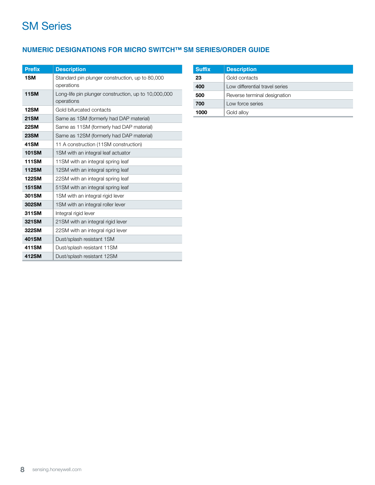### SM Series

### **NUMERIC DESIGNATIONS FOR MICRO SWITCH™ SM SERIES/ORDER GUIDE**

| <b>Prefix</b> | <b>Description</b>                                                 |
|---------------|--------------------------------------------------------------------|
| 1SM           | Standard pin plunger construction, up to 80,000<br>operations      |
| <b>11SM</b>   | Long-life pin plunger construction, up to 10,000,000<br>operations |
| <b>12SM</b>   | Gold bifurcated contacts                                           |
| <b>21SM</b>   | Same as 1SM (formerly had DAP material)                            |
| <b>22SM</b>   | Same as 11SM (formerly had DAP material)                           |
| <b>23SM</b>   | Same as 12SM (formerly had DAP material)                           |
| 41SM          | 11 A construction (11SM construction)                              |
| <b>101SM</b>  | 1SM with an integral leaf actuator                                 |
| <b>111SM</b>  | 11SM with an integral spring leaf                                  |
| <b>112SM</b>  | 12SM with an integral spring leaf                                  |
| <b>122SM</b>  | 22SM with an integral spring leaf                                  |
| <b>151SM</b>  | 51SM with an integral spring leaf                                  |
| 301SM         | 1SM with an integral rigid lever                                   |
| 302SM         | 1SM with an integral roller lever                                  |
| 311SM         | Integral rigid lever                                               |
| 321SM         | 21SM with an integral rigid lever                                  |
| 322SM         | 22SM with an integral rigid lever                                  |
| 401SM         | Dust/splash resistant 1SM                                          |
| 411SM         | Dust/splash resistant 11SM                                         |
| 412SM         | Dust/splash resistant 12SM                                         |

| <b>Suffix</b> | <b>Description</b>             |  |  |  |
|---------------|--------------------------------|--|--|--|
| 23            | Gold contacts                  |  |  |  |
| 400           | Low differential travel series |  |  |  |
| 500           | Reverse terminal designation   |  |  |  |
| 700           | Low force series               |  |  |  |
| 1000          | Gold alloy                     |  |  |  |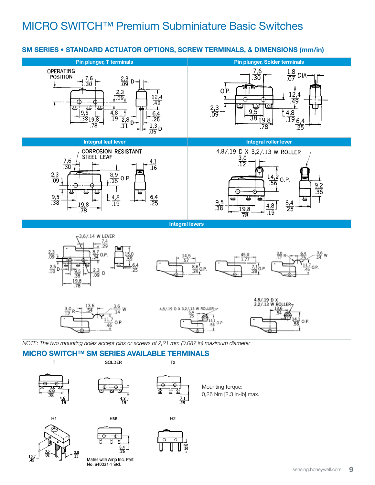### SM SERIES • STANDARD ACTUATOR OPTIONS, SCREW TERMINALS, & DIMENSIONS (mm/in)





 $\frac{28}{11}$ 

Mates with Amp Inc. Part No. 640024-1 Std.

 $\frac{10.7}{42}$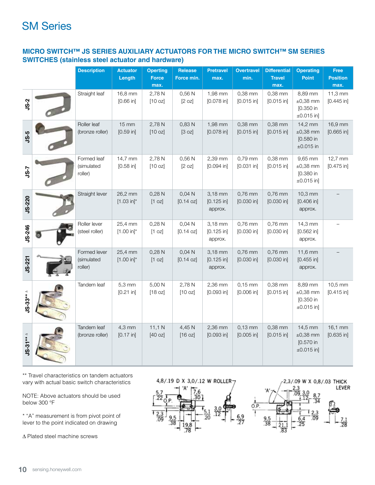### SM Series

### **MICRO SWITCH™ JS SERIES AUXILIARY ACTUATORS FOR THE MICRO SWITCH™ SM SERIES SWITCHES (stainless steel actuator and hardware)**

|               | <b>Description</b>                    | <b>Actuator</b><br>Length         | <b>Operting</b><br><b>Force</b><br>max.                 | Release<br>Force min.         | <b>Pretravel</b><br>max.           | <b>Overtravel</b><br>min.           | <b>Differential</b><br><b>Travel</b><br>max. | <b>Operating</b><br><b>Point</b>                           | Free<br><b>Position</b><br>max.   |
|---------------|---------------------------------------|-----------------------------------|---------------------------------------------------------|-------------------------------|------------------------------------|-------------------------------------|----------------------------------------------|------------------------------------------------------------|-----------------------------------|
| <b>JS-2</b>   | Straight leaf                         | 16,8 mm<br>$[0.66]$ in]           | 2,78 N<br>[10 oz]                                       | 0.56 <sub>N</sub><br>[2 oz]   | 1,98 mm<br>$[0.078$ in]            | 0,38 mm<br>$[0.015$ in]             | 0,38 mm<br>$[0.015$ in]                      | 8,89 mm<br>$\pm 0,38$ mm<br>[0.350 in<br>$±0.015$ in]      | $11,3 \text{ mm}$<br>$[0.445$ in] |
| <b>JS-5</b>   | Roller leaf<br>(bronze roller)        | $15 \, \text{mm}$<br>$[0.59$ in]  | 2,78 N<br>[10 oz]                                       | 0,83 N<br>[3 oz]              | 1,98 mm<br>$[0.078$ in]            | 0,38 mm<br>$[0.015$ in]             | 0,38 mm<br>$[0.015$ in]                      | 14,2 mm<br>$\pm 0,38$ mm<br>$[0.580]$ in<br>$\pm 0.015$ in | 16,9 mm<br>$[0.665]$ in]          |
| <b>7-SL</b>   | Formed leaf<br>(simulated<br>roller)  | 14,7 mm<br>$[0.58$ in]            | 2,78 N<br>[10 oz]                                       | 0,56 N<br>[2 oz]              | 2,39 mm<br>$[0.094]$ in]           | $0.79$ mm<br>$[0.031$ in]           | 0,38 mm<br>$[0.015$ in]                      | 9,65 mm<br>$\pm 0,38$ mm<br>[0.380 in<br>$±0.015$ in]      | 12,7 mm<br>$[0.475$ in]           |
| <b>JS-220</b> | Straight lever                        | 26,2 mm<br>$[1.03 in]$ *          | 0,28 N<br>[1 oz]                                        | 0,04 N<br>[0.14 oz]           | 3,18 mm<br>$[0.125$ in]<br>approx. | $0,76$ mm<br>$[0.030$ in]           | 0,76 mm<br>$[0.030$ in]                      | 10,3 mm<br>$[0.406]$ in]<br>approx.                        |                                   |
| <b>JS-246</b> | Roller lever<br>(steel roller)        | 25,4 mm<br>$[1.00 in]$ *          | 0,28N<br>$\begin{bmatrix} 1 & 0 \\ 2 & 0 \end{bmatrix}$ | 0.04 N<br>$[0.14$ oz $]$      | 3,18 mm<br>$[0.125$ in]<br>approx. | 0,76 mm<br>$[0.030$ in]             | 0,76 mm<br>$[0.030$ in]                      | 14,3 mm<br>$[0.562]$ in]<br>approx.                        |                                   |
| <b>JS-221</b> | Formed lever<br>(simulated<br>roller) | 25,4 mm<br>$[1.00 in]$ *          | 0,28N<br>$\begin{bmatrix} 1 & 0 \\ 2 & 0 \end{bmatrix}$ | 0,04 N<br>$[0.14 \text{ oz}]$ | 3,18 mm<br>$[0.125$ in]<br>approx. | 0,76 mm<br>$[0.030$ in]             | 0,76 mm<br>$[0.030$ in]                      | $11.6$ mm<br>$[0.455$ in]<br>approx.                       |                                   |
| $JS-33**$     | Tandem leaf                           | $5,3 \, \text{mm}$<br>$[0.21$ in] | 5,00 N<br>[18 oz]                                       | 2,78 N<br>[10 oz]             | 2,36 mm<br>$[0.093$ in]            | $0,15 \, \text{mm}$<br>$[0.006]$ in | $0,38$ mm<br>$[0.015$ in]                    | 8,89 mm<br>$\pm 0,38$ mm<br>$[0.350]$ in<br>$±0.015$ in]   | 10,5 mm<br>$[0.415$ in]           |
| $JS-31***$    | Tandem leaf<br>(bronze roller)        | 4,3 mm<br>[0.17 in]               | 11,1 N<br>[40 oz]                                       | 4,45 N<br>[16 oz]             | 2,36 mm<br>$[0.093$ in]            | $0,13$ mm<br>$[0.005$ in]           | 0,38 mm<br>$[0.015$ in]                      | 14,5 mm<br>$\pm 0,38$ mm<br>$[0.570]$ in<br>$±0.015$ in]   | 16,1 mm<br>$[0.635$ in]           |

\*\* Travel characteristics on tandem actuators vary with actual basic switch characteristics

NOTE: Above actuators should be used below 300 °F

\* "A" measurement is from pivot point of lever to the point indicated on drawing

 $\Delta$  Plated steel machine screws

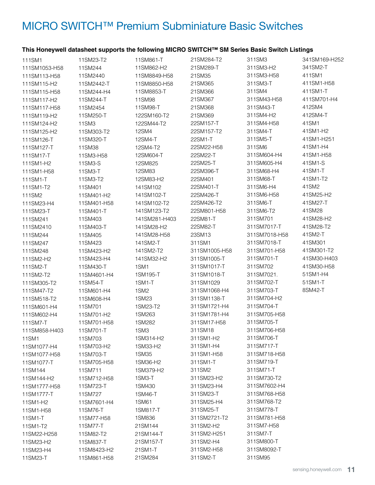# MICRO SWITCH™ Premium Subminiature Basic Switches

### **This Honeywell datasheet supports the following MICRO SWITCH™ SM Series Basic Switch Listings**

| 111SM1        | 11SM23-T2   | 11SM861-T        | 21SM284-T2    | 311SM3        | 341SM169-H252 |
|---------------|-------------|------------------|---------------|---------------|---------------|
| 111SM1053-H58 | 11SM244     | 11SM862-H2       | 21SM289-T     | 311SM3-H2     | 341SM2-T      |
| 111SM113-H58  | 11SM2440    | 11SM8849-H58     | 21SM35        | 311SM3-H58    | 411SM1        |
| 111SM115-H2   | 11SM2442-T  | 11SM8850-H58     | 21SM365       | 311SM3-T      | 411SM1-H58    |
| 111SM115-H58  | 11SM244-H4  | 11SM8853-T       | 21SM366       | 311SM4        | 411SM1-T      |
| 111SM117-H2   | 11SM244-T   | 11SM98           | 21SM367       | 311SM43-H58   | 411SM701-H4   |
| 111SM117-H58  | 11SM2454    | 11SM98-T         | 21SM368       | 311SM43-T     | 412SM4        |
| 111SM119-H2   | 11SM250-T   | 122SM160-T2      | 21SM369       | 311SM4-H2     | 412SM4-T      |
| 111SM124-H2   | 11SM3       | 122SM44-T2       | 22SM157-T     | 311SM4-H58    | 41SM1         |
| 111SM125-H2   | 11SM303-T2  | 12SM4            | 22SM157-T2    | 311SM4-T      | 41SM1-H2      |
| 111SM126-T    | 11SM320-T   | 12SM4-T          | 22SM1-T       | 311SM5-T      | 41SM1-H251    |
| 111SM127-T    | 11SM38      | 12SM4-T2         | 22SM22-H58    | 311SM6        | 41SM1-H4      |
| 111SM17-T     | 11SM3-H58   | 12SM604-T        | 22SM22-T      | 311SM604-H4   | 41SM1-H58     |
| 111SM1-H2     | 11SM3-S     | 12SM825          | 22SM25-T      | 311SM605-H4   | 41SM1-S       |
| 111SM1-H58    | 11SM3-T     | 12SM83           | 22SM396-T     | 311SM68-H4    | 41SM1-T       |
| 111SM1-T      | 11SM3-T2    | 12SM83-H2        | 22SM401       | 311SM68-T     | 41SM1-T2      |
| 111SM1-T2     | 11SM401     | 141SM102         | 22SM401-T     | 311SM6-H4     | 41SM2         |
| 111SM2        | 11SM401-H2  | 141SM102-T       | 22SM426-T     | 311SM6-H58    | 41SM25-H2     |
| 111SM23-H4    | 11SM401-H58 | 141SM102-T2      | 22SM426-T2    | 311SM6-T      | 41SM27-T      |
| 111SM23-T     | 11SM401-T   | 141SM123-T2      | 22SM801-H58   | 311SM6-T2     | 41SM28        |
| 111SM241      | 11SM403     | 141SM281-H403    | 22SM81-T      | 311SM701      | 41SM28-H2     |
| 111SM2410     | 11SM403-T   | 141SM28-H2       | 22SM82-T      | 311SM7017-T   | 41SM28-T2     |
| 111SM244      | 11SM405     | 141SM28-H58      | 23SM13        | 311SM7018-H58 | 41SM2-T       |
| 111SM247      | 11SM423     | 141SM2-T         | 311SM1        | 311SM7018-T   | 41SM301       |
| 111SM248      | 11SM423-H2  | 141SM2-T2        | 311SM1005-H58 | 311SM701-H58  | 41SM301-T2    |
| 111SM2-H2     | 11SM423-H4  | 141SM32-H2       | 311SM1005-T   | 311SM701-T    | 41SM30-H403   |
| 111SM2-T      | 11SM430-T   | 1SM1             | 311SM1017-T   | 311SM702      | 41SM30-H58    |
| 111SM2-T2     | 11SM4601-H4 | 1SM195-T         | 311SM1018-T   | 311SM7021.    | 51SM1-H4      |
| 111SM305-T2   | 11SM54-T    | 1SM1-T           | 311SM1029     | 311SM702-T    | 51SM1-T       |
| 111SM47-T2    | 11SM601-H4  | 1SM <sub>2</sub> | 311SM1068-H4  | 311SM703-T    | 8SM42-T       |
| 111SM518-T2   | 11SM608-H4  | 1SM23            | 311SM1138-T   | 311SM704-H2   |               |
| 111SM601-H4   | 11SM701     | 1SM23-T2         | 311SM1721-H4  | 311SM704-T    |               |
| 111SM602-H4   | 11SM701-H2  | 1SM263           | 311SM1781-H4  | 311SM705-H58  |               |
| 111SM7-T      | 11SM701-H58 | 1SM282           | 311SM17-H58   | 311SM705-T    |               |
| 111SM858-H403 | 11SM701-T   | 1SM3             | 311SM18       | 311SM706-H58  |               |
| 11SM1         | 11SM703     | 1SM314-H2        | 311SM1-H2     | 311SM706-T    |               |
| 11SM1077-H4   | 11SM703-H2  | 1SM33-H2         | 311SM1-H4     | 311SM717-T    |               |
| 11SM1077-H58  | 11SM703-T   | 1SM35            | 311SM1-H58    | 311SM718-H58  |               |
| 11SM1077-T    | 11SM705-H58 | 1SM36-H2         | 311SM1-T      | 311SM719-T    |               |
| 11SM144       | 11SM711     | 1SM379-H2        | 311SM2        | 311SM71-T     |               |
| 11SM144-H2    | 11SM712-H58 | 1SM3-T           | 311SM23-H2    | 311SM730-T2   |               |
| 11SM1777-H58  | 11SM723-T   | 1SM430           | 311SM23-H4    | 311SM7602-H4  |               |
| 11SM1777-T    | 11SM727     | 1SM46-T          | 311SM23-T     | 311SM768-H58  |               |
| 11SM1-H2      | 11SM7601-H4 | 1SM61            | 311SM25-H4    | 311SM768-T2   |               |
| 11SM1-H58     | 11SM76-T    | 1SM817-T         | 311SM25-T     | 311SM778-T    |               |
| 11SM1-T       | 11SM77-H58  | 1SM836           | 311SM2721-T2  | 311SM781-H58  |               |
| 11SM1-T2      | 11SM77-T    | 21SM144          | 311SM2-H2     | 311SM7-H58    |               |
| 11SM22-H258   | 11SM82-T2   | 21SM144-T        | 311SM2-H251   | 311SM7-T      |               |
| 11SM23-H2     | 11SM837-T   | 21SM157-T        | 311SM2-H4     | 311SM800-T    |               |
| 11SM23-H4     | 11SM8423-H2 | 21SM1-T          | 311SM2-H58    | 311SM8092-T   |               |
| 11SM23-T      | 11SM861-H58 | 21SM284          | 311SM2-T      | 311SM95       |               |
|               |             |                  |               |               |               |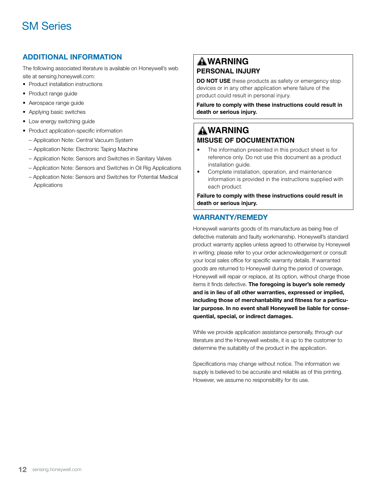### SM Series

### ADDITIONAL INFORMATION

The following associated literature is available on Honeywell's web site at sensing.honeywell.com:

- Product installation instructions
- Product range guide
- Aerospace range guide
- Applying basic switches
- Low energy switching guide
- Product application-specific information
	- Application Note: Central Vacuum System
	- Application Note: Electronic Taping Machine
	- Application Note: Sensors and Switches in Sanitary Valves
	- Application Note: Sensors and Switches in Oil Rig Applications
	- Application Note: Sensors and Switches for Potential Medical Applications

### **WARNING PERSONAL INJURY**

**DO NOT USE** these products as safety or emergency stop devices or in any other application where failure of the product could result in personal injury.

**Failure to comply with these instructions could result in death or serious injury.**

### **WARNING MISUSE OF DOCUMENTATION**

- The information presented in this product sheet is for reference only. Do not use this document as a product installation guide.
- Complete installation, operation, and maintenance information is provided in the instructions supplied with each product.

**Failure to comply with these instructions could result in death or serious injury.**

### WARRANTY/REMEDY

Honeywell warrants goods of its manufacture as being free of defective materials and faulty workmanship. Honeywell's standard product warranty applies unless agreed to otherwise by Honeywell in writing; please refer to your order acknowledgement or consult your local sales office for specific warranty details. If warranted goods are returned to Honeywell during the period of coverage, Honeywell will repair or replace, at its option, without charge those items it finds defective. The foregoing is buyer's sole remedy and is in lieu of all other warranties, expressed or implied, including those of merchantability and fitness for a particular purpose. In no event shall Honeywell be liable for consequential, special, or indirect damages.

While we provide application assistance personally, through our literature and the Honeywell website, it is up to the customer to determine the suitability of the product in the application.

Specifications may change without notice. The information we supply is believed to be accurate and reliable as of this printing. However, we assume no responsibility for its use.